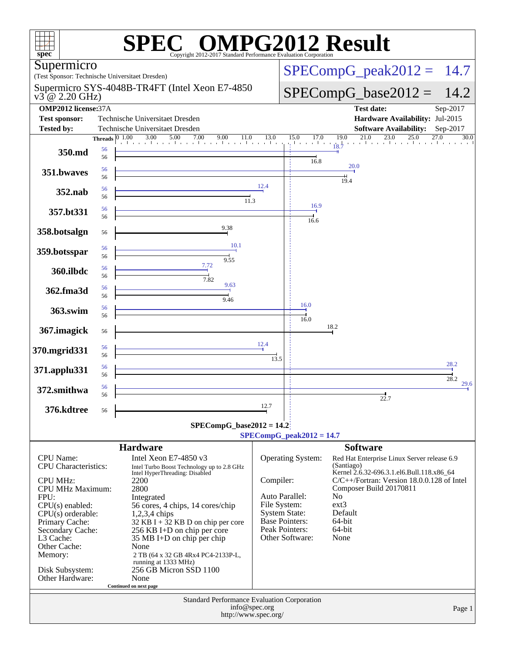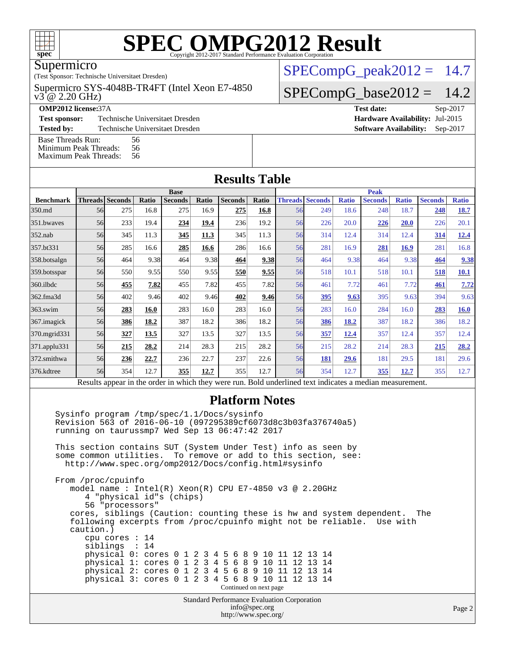

#### Supermicro

(Test Sponsor: Technische Universitaet Dresden)

 $v3^{\degree}$ @ 2.20 GHz) Supermicro SYS-4048B-TR4FT (Intel Xeon E7-4850

**[Test sponsor:](http://www.spec.org/auto/omp2012/Docs/result-fields.html#Testsponsor)** Technische Universitaet Dresden **[Hardware Availability:](http://www.spec.org/auto/omp2012/Docs/result-fields.html#HardwareAvailability)** Jul-2015

**[Tested by:](http://www.spec.org/auto/omp2012/Docs/result-fields.html#Testedby)** Technische Universitaet Dresden **[Software Availability:](http://www.spec.org/auto/omp2012/Docs/result-fields.html#SoftwareAvailability)** Sep-2017

[Base Threads Run:](http://www.spec.org/auto/omp2012/Docs/result-fields.html#BaseThreadsRun) 56<br>Minimum Peak Threads: 56 [Minimum Peak Threads:](http://www.spec.org/auto/omp2012/Docs/result-fields.html#MinimumPeakThreads)

#### $SPECompG<sub>p</sub>eak2012 = 14.7$

#### $SPECompG_base2012 = 14.2$  $SPECompG_base2012 = 14.2$

**[OMP2012 license:](http://www.spec.org/auto/omp2012/Docs/result-fields.html#OMP2012license)**37A **[Test date:](http://www.spec.org/auto/omp2012/Docs/result-fields.html#Testdate)** Sep-2017

[Maximum Peak Threads:](http://www.spec.org/auto/omp2012/Docs/result-fields.html#MaximumPeakThreads) 56

| <b>Results Table</b>                                                                                     |                        |     |       |                |       |                |       |                |                |              |                |              |                |              |
|----------------------------------------------------------------------------------------------------------|------------------------|-----|-------|----------------|-------|----------------|-------|----------------|----------------|--------------|----------------|--------------|----------------|--------------|
|                                                                                                          |                        |     |       | <b>Base</b>    |       |                |       | <b>Peak</b>    |                |              |                |              |                |              |
| <b>Benchmark</b>                                                                                         | <b>Threads</b> Seconds |     | Ratio | <b>Seconds</b> | Ratio | <b>Seconds</b> | Ratio | <b>Threads</b> | <b>Seconds</b> | <b>Ratio</b> | <b>Seconds</b> | <b>Ratio</b> | <b>Seconds</b> | <b>Ratio</b> |
| 350.md                                                                                                   | 56                     | 275 | 16.8  | 275            | 16.9  | 275            | 16.8  | 56             | 249            | 18.6         | 248            | 18.7         | 248            | 18.7         |
| 351.bwaves                                                                                               | 56                     | 233 | 19.4  | 234            | 19.4  | 236            | 19.2  | 56             | 226            | 20.0         | 226            | 20.0         | 226            | 20.1         |
| $352$ .nab                                                                                               | 56                     | 345 | 11.3  | 345            | 11.3  | 345            | 11.3  | 56             | 314            | 12.4         | 314            | 12.4         | 314            | 12.4         |
| 357.bt331                                                                                                | 56                     | 285 | 16.6  | 285            | 16.6  | 286            | 16.6  | 56             | 281            | 16.9         | 281            | 16.9         | 281            | 16.8         |
| 358.botsalgn                                                                                             | 56                     | 464 | 9.38  | 464            | 9.38  | 464            | 9.38  | 56             | 464            | 9.38         | 464            | 9.38         | 464            | 9.38         |
| 359.botsspar                                                                                             | 56                     | 550 | 9.55  | 550            | 9.55  | 550            | 9.55  | 56             | 518            | 10.1         | 518            | 10.1         | 518            | <b>10.1</b>  |
| $360$ .ilbdc                                                                                             | 56                     | 455 | 7.82  | 455            | 7.82  | 455            | 7.82  | 56             | 461            | 7.72         | 461            | 7.72         | 461            | 7.72         |
| 362.fma3d                                                                                                | 56                     | 402 | 9.46  | 402            | 9.46  | 402            | 9.46  | 56             | 395            | 9.63         | 395            | 9.63         | 394            | 9.63         |
| $363$ .swim                                                                                              | 56                     | 283 | 16.0  | 283            | 16.0  | 283            | 16.0  | 56             | 283            | 16.0         | 284            | 16.0         | 283            | 16.0         |
| 367.imagick                                                                                              | 56                     | 386 | 18.2  | 387            | 18.2  | 386            | 18.2  | 56             | 386            | 18.2         | 387            | 18.2         | 386            | 18.2         |
| 370.mgrid331                                                                                             | 56                     | 327 | 13.5  | 327            | 13.5  | 327            | 13.5  | 56             | 357            | <u>12.4</u>  | 357            | 12.4         | 357            | 12.4         |
| $ 371 \text{.applu}331$                                                                                  | 56                     | 215 | 28.2  | 214            | 28.3  | 215            | 28.2  | 56             | 215            | 28.2         | 214            | 28.3         | 215            | 28.2         |
| 372.smithwa                                                                                              | 56                     | 236 | 22.7  | 236            | 22.7  | 237            | 22.6  | 56             | 181            | 29.6         | 181            | 29.5         | 181            | 29.6         |
| 376.kdtree                                                                                               | 56                     | 354 | 12.7  | 355            | 12.7  | 355            | 12.7  | 56             | 354            | 12.7         | 355            | <u>12.7</u>  | 355            | 12.7         |
| Results appear in the order in which they were run. Bold underlined text indicates a median measurement. |                        |     |       |                |       |                |       |                |                |              |                |              |                |              |
|                                                                                                          | <b>Platform Notes</b>  |     |       |                |       |                |       |                |                |              |                |              |                |              |

 Sysinfo program /tmp/spec/1.1/Docs/sysinfo Revision 563 of 2016-06-10 (097295389cf6073d8c3b03fa376740a5) running on taurussmp7 Wed Sep 13 06:47:42 2017

 This section contains SUT (System Under Test) info as seen by some common utilities. To remove or add to this section, see: <http://www.spec.org/omp2012/Docs/config.html#sysinfo>

Standard Performance Evaluation Corporation From /proc/cpuinfo model name : Intel(R) Xeon(R) CPU E7-4850 v3 @ 2.20GHz 4 "physical id"s (chips) 56 "processors" cores, siblings (Caution: counting these is hw and system dependent. The following excerpts from /proc/cpuinfo might not be reliable. Use with caution.) cpu cores : 14 siblings : 14 physical 0: cores 0 1 2 3 4 5 6 8 9 10 11 12 13 14 physical 1: cores 0 1 2 3 4 5 6 8 9 10 11 12 13 14 physical 2: cores 0 1 2 3 4 5 6 8 9 10 11 12 13 14 physical 3: cores 0 1 2 3 4 5 6 8 9 10 11 12 13 14 Continued on next page

[info@spec.org](mailto:info@spec.org) <http://www.spec.org/>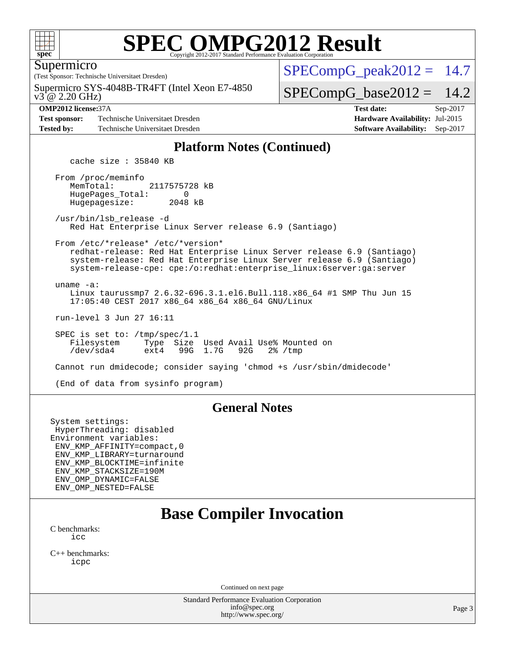

Supermicro

(Test Sponsor: Technische Universitaet Dresden)

v3 @ 2.20 GHz) Supermicro SYS-4048B-TR4FT (Intel Xeon E7-4850

**[Test sponsor:](http://www.spec.org/auto/omp2012/Docs/result-fields.html#Testsponsor)** Technische Universitaet Dresden **[Hardware Availability:](http://www.spec.org/auto/omp2012/Docs/result-fields.html#HardwareAvailability)** Jul-2015 **[Tested by:](http://www.spec.org/auto/omp2012/Docs/result-fields.html#Testedby)** Technische Universitaet Dresden **[Software Availability:](http://www.spec.org/auto/omp2012/Docs/result-fields.html#SoftwareAvailability)** Sep-2017

 $SPECompG<sub>p</sub>eak2012 = 14.7$ 

 $SPECompG_base2012 = 14.2$  $SPECompG_base2012 = 14.2$ 

**[OMP2012 license:](http://www.spec.org/auto/omp2012/Docs/result-fields.html#OMP2012license)**37A **[Test date:](http://www.spec.org/auto/omp2012/Docs/result-fields.html#Testdate)** Sep-2017

#### **[Platform Notes \(Continued\)](http://www.spec.org/auto/omp2012/Docs/result-fields.html#PlatformNotes)**

cache size : 35840 KB

 From /proc/meminfo MemTotal: 2117575728 kB<br>HugePages Total: 0 HugePages\_Total: 0<br>Hugepagesize: 2048 kB Hugepagesize:

 /usr/bin/lsb\_release -d Red Hat Enterprise Linux Server release 6.9 (Santiago)

 From /etc/\*release\* /etc/\*version\* redhat-release: Red Hat Enterprise Linux Server release 6.9 (Santiago)

 system-release: Red Hat Enterprise Linux Server release 6.9 (Santiago) system-release-cpe: cpe:/o:redhat:enterprise\_linux:6server:ga:server

 uname -a: Linux taurussmp7 2.6.32-696.3.1.el6.Bull.118.x86\_64 #1 SMP Thu Jun 15 17:05:40 CEST 2017 x86\_64 x86\_64 x86\_64 GNU/Linux

run-level 3 Jun 27 16:11

 SPEC is set to: /tmp/spec/1.1 Filesystem Type Size Used Avail Use% Mounted on<br>
/dev/sda4 ext4 99G 1.7G 92G 2% /tmp /dev/sda4 ext4 99G 1.7G 92G 2% /tmp

Cannot run dmidecode; consider saying 'chmod +s /usr/sbin/dmidecode'

(End of data from sysinfo program)

#### **[General Notes](http://www.spec.org/auto/omp2012/Docs/result-fields.html#GeneralNotes)**

System settings: HyperThreading: disabled Environment variables: ENV\_KMP\_AFFINITY=compact,0 ENV\_KMP\_LIBRARY=turnaround ENV\_KMP\_BLOCKTIME=infinite ENV\_KMP\_STACKSIZE=190M ENV\_OMP\_DYNAMIC=FALSE ENV\_OMP\_NESTED=FALSE

## **[Base Compiler Invocation](http://www.spec.org/auto/omp2012/Docs/result-fields.html#BaseCompilerInvocation)**

[C benchmarks](http://www.spec.org/auto/omp2012/Docs/result-fields.html#Cbenchmarks): [icc](http://www.spec.org/omp2012/results/res2017q4/omp2012-20171025-00135.flags.html#user_CCbase_intel_cc_a87c68a857bc5ec5362391a49d3a37a6)

[C++ benchmarks:](http://www.spec.org/auto/omp2012/Docs/result-fields.html#CXXbenchmarks) [icpc](http://www.spec.org/omp2012/results/res2017q4/omp2012-20171025-00135.flags.html#user_CXXbase_intel_CC_2d899f8d163502b12eb4a60069f80c1c)

Continued on next page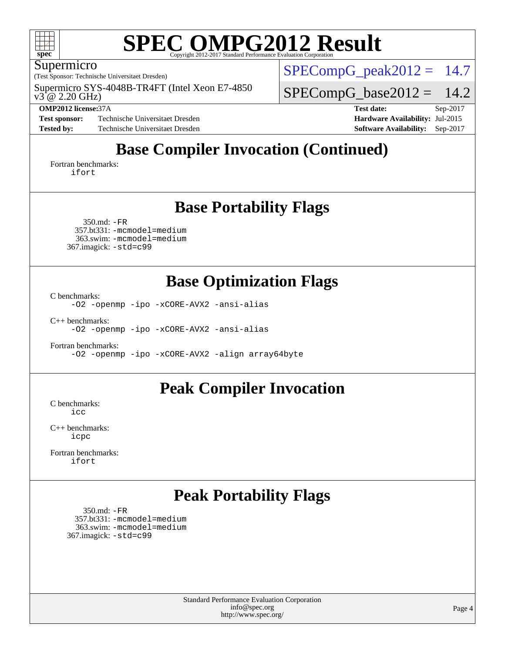

#### Supermicro

(Test Sponsor: Technische Universitaet Dresden)

 $v3^{\degree}$ @ 2.20 GHz) Supermicro SYS-4048B-TR4FT (Intel Xeon E7-4850

**[Test sponsor:](http://www.spec.org/auto/omp2012/Docs/result-fields.html#Testsponsor)** Technische Universitaet Dresden **[Hardware Availability:](http://www.spec.org/auto/omp2012/Docs/result-fields.html#HardwareAvailability)** Jul-2015 **[Tested by:](http://www.spec.org/auto/omp2012/Docs/result-fields.html#Testedby)** Technische Universitaet Dresden **[Software Availability:](http://www.spec.org/auto/omp2012/Docs/result-fields.html#SoftwareAvailability)** Sep-2017

 $SPECompG_peak2012 = 14.7$  $SPECompG_peak2012 = 14.7$ 

 $SPECompG_base2012 = 14.2$  $SPECompG_base2012 = 14.2$ 

**[OMP2012 license:](http://www.spec.org/auto/omp2012/Docs/result-fields.html#OMP2012license)**37A **[Test date:](http://www.spec.org/auto/omp2012/Docs/result-fields.html#Testdate)** Sep-2017

## **[Base Compiler Invocation \(Continued\)](http://www.spec.org/auto/omp2012/Docs/result-fields.html#BaseCompilerInvocation)**

[Fortran benchmarks](http://www.spec.org/auto/omp2012/Docs/result-fields.html#Fortranbenchmarks): [ifort](http://www.spec.org/omp2012/results/res2017q4/omp2012-20171025-00135.flags.html#user_FCbase_intel_f90_8a5e5e06b19a251bdeaf8fdab5d62f20)

### **[Base Portability Flags](http://www.spec.org/auto/omp2012/Docs/result-fields.html#BasePortabilityFlags)**

 350.md: [-FR](http://www.spec.org/omp2012/results/res2017q4/omp2012-20171025-00135.flags.html#user_baseFPORTABILITY350_md_port_fr_826f1f71b114efdd895e50dc86c480ee) 357.bt331: [-mcmodel=medium](http://www.spec.org/omp2012/results/res2017q4/omp2012-20171025-00135.flags.html#user_basePORTABILITY357_bt331_mcmodel_3a41622424bdd074c4f0f2d2f224c7e5) 363.swim: [-mcmodel=medium](http://www.spec.org/omp2012/results/res2017q4/omp2012-20171025-00135.flags.html#user_basePORTABILITY363_swim_mcmodel_3a41622424bdd074c4f0f2d2f224c7e5) 367.imagick: [-std=c99](http://www.spec.org/omp2012/results/res2017q4/omp2012-20171025-00135.flags.html#user_baseCPORTABILITY367_imagick_port_std_2ec6533b6e06f1c4a6c9b78d9e9cde24)

### **[Base Optimization Flags](http://www.spec.org/auto/omp2012/Docs/result-fields.html#BaseOptimizationFlags)**

[C benchmarks](http://www.spec.org/auto/omp2012/Docs/result-fields.html#Cbenchmarks):

[-O2](http://www.spec.org/omp2012/results/res2017q4/omp2012-20171025-00135.flags.html#user_CCbase_O_b5fb2f64a2668606ede8f74eb708e30b) [-openmp](http://www.spec.org/omp2012/results/res2017q4/omp2012-20171025-00135.flags.html#user_CCbase_F-openmp) [-ipo](http://www.spec.org/omp2012/results/res2017q4/omp2012-20171025-00135.flags.html#user_CCbase_ipo) [-xCORE-AVX2](http://www.spec.org/omp2012/results/res2017q4/omp2012-20171025-00135.flags.html#user_CCbase_xCORE-AVX2) [-ansi-alias](http://www.spec.org/omp2012/results/res2017q4/omp2012-20171025-00135.flags.html#user_CCbase_ansi-alias)

[C++ benchmarks:](http://www.spec.org/auto/omp2012/Docs/result-fields.html#CXXbenchmarks)

[-O2](http://www.spec.org/omp2012/results/res2017q4/omp2012-20171025-00135.flags.html#user_CXXbase_O_b5fb2f64a2668606ede8f74eb708e30b) [-openmp](http://www.spec.org/omp2012/results/res2017q4/omp2012-20171025-00135.flags.html#user_CXXbase_F-openmp) [-ipo](http://www.spec.org/omp2012/results/res2017q4/omp2012-20171025-00135.flags.html#user_CXXbase_ipo) [-xCORE-AVX2](http://www.spec.org/omp2012/results/res2017q4/omp2012-20171025-00135.flags.html#user_CXXbase_xCORE-AVX2) [-ansi-alias](http://www.spec.org/omp2012/results/res2017q4/omp2012-20171025-00135.flags.html#user_CXXbase_ansi-alias)

[Fortran benchmarks](http://www.spec.org/auto/omp2012/Docs/result-fields.html#Fortranbenchmarks): [-O2](http://www.spec.org/omp2012/results/res2017q4/omp2012-20171025-00135.flags.html#user_FCbase_O_b5fb2f64a2668606ede8f74eb708e30b) [-openmp](http://www.spec.org/omp2012/results/res2017q4/omp2012-20171025-00135.flags.html#user_FCbase_F-openmp) [-ipo](http://www.spec.org/omp2012/results/res2017q4/omp2012-20171025-00135.flags.html#user_FCbase_ipo) [-xCORE-AVX2](http://www.spec.org/omp2012/results/res2017q4/omp2012-20171025-00135.flags.html#user_FCbase_xCORE-AVX2) [-align array64byte](http://www.spec.org/omp2012/results/res2017q4/omp2012-20171025-00135.flags.html#user_FCbase_align-array64byte_c9377f996e966d652baaf753401d4725)

#### **[Peak Compiler Invocation](http://www.spec.org/auto/omp2012/Docs/result-fields.html#PeakCompilerInvocation)**

[C benchmarks](http://www.spec.org/auto/omp2012/Docs/result-fields.html#Cbenchmarks): [icc](http://www.spec.org/omp2012/results/res2017q4/omp2012-20171025-00135.flags.html#user_CCpeak_intel_cc_a87c68a857bc5ec5362391a49d3a37a6)

[C++ benchmarks:](http://www.spec.org/auto/omp2012/Docs/result-fields.html#CXXbenchmarks) [icpc](http://www.spec.org/omp2012/results/res2017q4/omp2012-20171025-00135.flags.html#user_CXXpeak_intel_CC_2d899f8d163502b12eb4a60069f80c1c)

[Fortran benchmarks](http://www.spec.org/auto/omp2012/Docs/result-fields.html#Fortranbenchmarks): [ifort](http://www.spec.org/omp2012/results/res2017q4/omp2012-20171025-00135.flags.html#user_FCpeak_intel_f90_8a5e5e06b19a251bdeaf8fdab5d62f20)

### **[Peak Portability Flags](http://www.spec.org/auto/omp2012/Docs/result-fields.html#PeakPortabilityFlags)**

 350.md: [-FR](http://www.spec.org/omp2012/results/res2017q4/omp2012-20171025-00135.flags.html#user_peakFPORTABILITY350_md_port_fr_826f1f71b114efdd895e50dc86c480ee) 357.bt331: [-mcmodel=medium](http://www.spec.org/omp2012/results/res2017q4/omp2012-20171025-00135.flags.html#user_peakPORTABILITY357_bt331_mcmodel_3a41622424bdd074c4f0f2d2f224c7e5) 363.swim: [-mcmodel=medium](http://www.spec.org/omp2012/results/res2017q4/omp2012-20171025-00135.flags.html#user_peakPORTABILITY363_swim_mcmodel_3a41622424bdd074c4f0f2d2f224c7e5) 367.imagick: [-std=c99](http://www.spec.org/omp2012/results/res2017q4/omp2012-20171025-00135.flags.html#user_peakCPORTABILITY367_imagick_port_std_2ec6533b6e06f1c4a6c9b78d9e9cde24)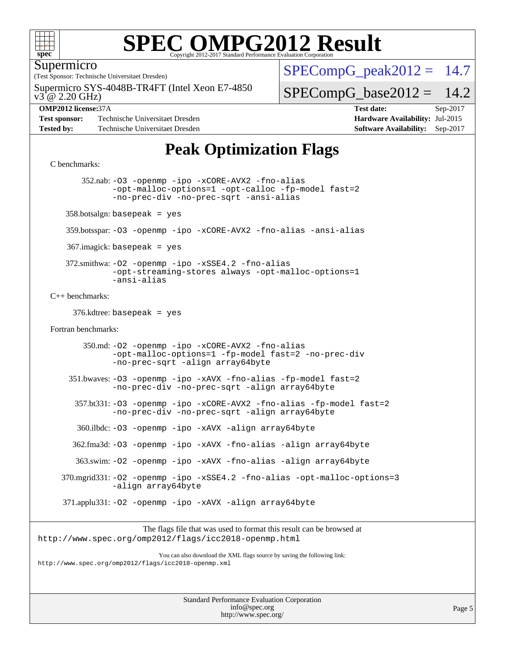

Supermicro

(Test Sponsor: Technische Universitaet Dresden)

 $v3^{\degree}$ @ 2.20 GHz) Supermicro SYS-4048B-TR4FT (Intel Xeon E7-4850

**[Test sponsor:](http://www.spec.org/auto/omp2012/Docs/result-fields.html#Testsponsor)** Technische Universitaet Dresden **[Hardware Availability:](http://www.spec.org/auto/omp2012/Docs/result-fields.html#HardwareAvailability)** Jul-2015 **[Tested by:](http://www.spec.org/auto/omp2012/Docs/result-fields.html#Testedby)** Technische Universitaet Dresden **[Software Availability:](http://www.spec.org/auto/omp2012/Docs/result-fields.html#SoftwareAvailability)** Sep-2017

#### $SPECompG<sub>p</sub>eak2012 = 14.7$

 $SPECompG_base2012 = 14.2$  $SPECompG_base2012 = 14.2$ 

**[OMP2012 license:](http://www.spec.org/auto/omp2012/Docs/result-fields.html#OMP2012license)**37A **[Test date:](http://www.spec.org/auto/omp2012/Docs/result-fields.html#Testdate)** Sep-2017

## **[Peak Optimization Flags](http://www.spec.org/auto/omp2012/Docs/result-fields.html#PeakOptimizationFlags)**

#### [C benchmarks](http://www.spec.org/auto/omp2012/Docs/result-fields.html#Cbenchmarks):

 352.nab: [-O3](http://www.spec.org/omp2012/results/res2017q4/omp2012-20171025-00135.flags.html#user_peakOPTIMIZE352_nab_O_1ec1effec8bc51870b35e140487c521e) [-openmp](http://www.spec.org/omp2012/results/res2017q4/omp2012-20171025-00135.flags.html#user_peakOPTIMIZE352_nab_F-openmp) [-ipo](http://www.spec.org/omp2012/results/res2017q4/omp2012-20171025-00135.flags.html#user_peakOPTIMIZE352_nab_ipo) [-xCORE-AVX2](http://www.spec.org/omp2012/results/res2017q4/omp2012-20171025-00135.flags.html#user_peakOPTIMIZE352_nab_xCORE-AVX2) [-fno-alias](http://www.spec.org/omp2012/results/res2017q4/omp2012-20171025-00135.flags.html#user_peakOPTIMIZE352_nab_f-no-alias_694e77f6c5a51e658e82ccff53a9e63a) [-opt-malloc-options=1](http://www.spec.org/omp2012/results/res2017q4/omp2012-20171025-00135.flags.html#user_peakOPTIMIZE352_nab_f-opt-malloc-options_d882ffc6ff87e51efe45f9a5190004b0) [-opt-calloc](http://www.spec.org/omp2012/results/res2017q4/omp2012-20171025-00135.flags.html#user_peakOPTIMIZE352_nab_f-opt-calloc) [-fp-model fast=2](http://www.spec.org/omp2012/results/res2017q4/omp2012-20171025-00135.flags.html#user_peakOPTIMIZE352_nab_f-fp-model_a7fb8ccb7275e23f0079632c153cfcab) [-no-prec-div](http://www.spec.org/omp2012/results/res2017q4/omp2012-20171025-00135.flags.html#user_peakOPTIMIZE352_nab_no-prec-div) [-no-prec-sqrt](http://www.spec.org/omp2012/results/res2017q4/omp2012-20171025-00135.flags.html#user_peakOPTIMIZE352_nab_no-prec-sqrt) [-ansi-alias](http://www.spec.org/omp2012/results/res2017q4/omp2012-20171025-00135.flags.html#user_peakCOPTIMIZE352_nab_ansi-alias)  $358.$ botsalgn: basepeak = yes 359.botsspar: [-O3](http://www.spec.org/omp2012/results/res2017q4/omp2012-20171025-00135.flags.html#user_peakOPTIMIZE359_botsspar_O_1ec1effec8bc51870b35e140487c521e) [-openmp](http://www.spec.org/omp2012/results/res2017q4/omp2012-20171025-00135.flags.html#user_peakOPTIMIZE359_botsspar_F-openmp) [-ipo](http://www.spec.org/omp2012/results/res2017q4/omp2012-20171025-00135.flags.html#user_peakOPTIMIZE359_botsspar_ipo) [-xCORE-AVX2](http://www.spec.org/omp2012/results/res2017q4/omp2012-20171025-00135.flags.html#user_peakOPTIMIZE359_botsspar_xCORE-AVX2) [-fno-alias](http://www.spec.org/omp2012/results/res2017q4/omp2012-20171025-00135.flags.html#user_peakOPTIMIZE359_botsspar_f-no-alias_694e77f6c5a51e658e82ccff53a9e63a) [-ansi-alias](http://www.spec.org/omp2012/results/res2017q4/omp2012-20171025-00135.flags.html#user_peakCOPTIMIZE359_botsspar_ansi-alias) 367.imagick: basepeak = yes 372.smithwa: [-O2](http://www.spec.org/omp2012/results/res2017q4/omp2012-20171025-00135.flags.html#user_peakOPTIMIZE372_smithwa_O_b5fb2f64a2668606ede8f74eb708e30b) [-openmp](http://www.spec.org/omp2012/results/res2017q4/omp2012-20171025-00135.flags.html#user_peakOPTIMIZE372_smithwa_F-openmp) [-ipo](http://www.spec.org/omp2012/results/res2017q4/omp2012-20171025-00135.flags.html#user_peakOPTIMIZE372_smithwa_ipo) [-xSSE4.2](http://www.spec.org/omp2012/results/res2017q4/omp2012-20171025-00135.flags.html#user_peakOPTIMIZE372_smithwa_f-xSSE42_f91528193cf0b216347adb8b939d4107) [-fno-alias](http://www.spec.org/omp2012/results/res2017q4/omp2012-20171025-00135.flags.html#user_peakOPTIMIZE372_smithwa_f-no-alias_694e77f6c5a51e658e82ccff53a9e63a) [-opt-streaming-stores always](http://www.spec.org/omp2012/results/res2017q4/omp2012-20171025-00135.flags.html#user_peakOPTIMIZE372_smithwa_f-opt-streaming-stores-always_66f55dbc532842151ebc4c82f4f5b019) [-opt-malloc-options=1](http://www.spec.org/omp2012/results/res2017q4/omp2012-20171025-00135.flags.html#user_peakOPTIMIZE372_smithwa_f-opt-malloc-options_d882ffc6ff87e51efe45f9a5190004b0) [-ansi-alias](http://www.spec.org/omp2012/results/res2017q4/omp2012-20171025-00135.flags.html#user_peakCOPTIMIZE372_smithwa_ansi-alias) [C++ benchmarks:](http://www.spec.org/auto/omp2012/Docs/result-fields.html#CXXbenchmarks) 376.kdtree: basepeak = yes [Fortran benchmarks](http://www.spec.org/auto/omp2012/Docs/result-fields.html#Fortranbenchmarks): 350.md: [-O2](http://www.spec.org/omp2012/results/res2017q4/omp2012-20171025-00135.flags.html#user_peakOPTIMIZE350_md_O_b5fb2f64a2668606ede8f74eb708e30b) [-openmp](http://www.spec.org/omp2012/results/res2017q4/omp2012-20171025-00135.flags.html#user_peakOPTIMIZE350_md_F-openmp) [-ipo](http://www.spec.org/omp2012/results/res2017q4/omp2012-20171025-00135.flags.html#user_peakOPTIMIZE350_md_ipo) [-xCORE-AVX2](http://www.spec.org/omp2012/results/res2017q4/omp2012-20171025-00135.flags.html#user_peakOPTIMIZE350_md_xCORE-AVX2) [-fno-alias](http://www.spec.org/omp2012/results/res2017q4/omp2012-20171025-00135.flags.html#user_peakOPTIMIZE350_md_f-no-alias_694e77f6c5a51e658e82ccff53a9e63a) [-opt-malloc-options=1](http://www.spec.org/omp2012/results/res2017q4/omp2012-20171025-00135.flags.html#user_peakOPTIMIZE350_md_f-opt-malloc-options_d882ffc6ff87e51efe45f9a5190004b0) [-fp-model fast=2](http://www.spec.org/omp2012/results/res2017q4/omp2012-20171025-00135.flags.html#user_peakFOPTIMIZE350_md_f-fp-model_a7fb8ccb7275e23f0079632c153cfcab) [-no-prec-div](http://www.spec.org/omp2012/results/res2017q4/omp2012-20171025-00135.flags.html#user_peakFOPTIMIZE350_md_no-prec-div) [-no-prec-sqrt](http://www.spec.org/omp2012/results/res2017q4/omp2012-20171025-00135.flags.html#user_peakFOPTIMIZE350_md_no-prec-sqrt) [-align array64byte](http://www.spec.org/omp2012/results/res2017q4/omp2012-20171025-00135.flags.html#user_peakFOPTIMIZE350_md_align-array64byte_c9377f996e966d652baaf753401d4725) 351.bwaves: [-O3](http://www.spec.org/omp2012/results/res2017q4/omp2012-20171025-00135.flags.html#user_peakOPTIMIZE351_bwaves_O_1ec1effec8bc51870b35e140487c521e) [-openmp](http://www.spec.org/omp2012/results/res2017q4/omp2012-20171025-00135.flags.html#user_peakOPTIMIZE351_bwaves_F-openmp) [-ipo](http://www.spec.org/omp2012/results/res2017q4/omp2012-20171025-00135.flags.html#user_peakOPTIMIZE351_bwaves_ipo) [-xAVX](http://www.spec.org/omp2012/results/res2017q4/omp2012-20171025-00135.flags.html#user_peakOPTIMIZE351_bwaves_xAVX) [-fno-alias](http://www.spec.org/omp2012/results/res2017q4/omp2012-20171025-00135.flags.html#user_peakOPTIMIZE351_bwaves_f-no-alias_694e77f6c5a51e658e82ccff53a9e63a) [-fp-model fast=2](http://www.spec.org/omp2012/results/res2017q4/omp2012-20171025-00135.flags.html#user_peakFOPTIMIZE351_bwaves_f-fp-model_a7fb8ccb7275e23f0079632c153cfcab) [-no-prec-div](http://www.spec.org/omp2012/results/res2017q4/omp2012-20171025-00135.flags.html#user_peakFOPTIMIZE351_bwaves_no-prec-div) [-no-prec-sqrt](http://www.spec.org/omp2012/results/res2017q4/omp2012-20171025-00135.flags.html#user_peakFOPTIMIZE351_bwaves_no-prec-sqrt) [-align array64byte](http://www.spec.org/omp2012/results/res2017q4/omp2012-20171025-00135.flags.html#user_peakFOPTIMIZE351_bwaves_align-array64byte_c9377f996e966d652baaf753401d4725) 357.bt331: [-O3](http://www.spec.org/omp2012/results/res2017q4/omp2012-20171025-00135.flags.html#user_peakOPTIMIZE357_bt331_O_1ec1effec8bc51870b35e140487c521e) [-openmp](http://www.spec.org/omp2012/results/res2017q4/omp2012-20171025-00135.flags.html#user_peakOPTIMIZE357_bt331_F-openmp) [-ipo](http://www.spec.org/omp2012/results/res2017q4/omp2012-20171025-00135.flags.html#user_peakOPTIMIZE357_bt331_ipo) [-xCORE-AVX2](http://www.spec.org/omp2012/results/res2017q4/omp2012-20171025-00135.flags.html#user_peakOPTIMIZE357_bt331_xCORE-AVX2) [-fno-alias](http://www.spec.org/omp2012/results/res2017q4/omp2012-20171025-00135.flags.html#user_peakOPTIMIZE357_bt331_f-no-alias_694e77f6c5a51e658e82ccff53a9e63a) [-fp-model fast=2](http://www.spec.org/omp2012/results/res2017q4/omp2012-20171025-00135.flags.html#user_peakFOPTIMIZE357_bt331_f-fp-model_a7fb8ccb7275e23f0079632c153cfcab) [-no-prec-div](http://www.spec.org/omp2012/results/res2017q4/omp2012-20171025-00135.flags.html#user_peakFOPTIMIZE357_bt331_no-prec-div) [-no-prec-sqrt](http://www.spec.org/omp2012/results/res2017q4/omp2012-20171025-00135.flags.html#user_peakFOPTIMIZE357_bt331_no-prec-sqrt) [-align array64byte](http://www.spec.org/omp2012/results/res2017q4/omp2012-20171025-00135.flags.html#user_peakFOPTIMIZE357_bt331_align-array64byte_c9377f996e966d652baaf753401d4725) 360.ilbdc: [-O3](http://www.spec.org/omp2012/results/res2017q4/omp2012-20171025-00135.flags.html#user_peakOPTIMIZE360_ilbdc_O_1ec1effec8bc51870b35e140487c521e) [-openmp](http://www.spec.org/omp2012/results/res2017q4/omp2012-20171025-00135.flags.html#user_peakOPTIMIZE360_ilbdc_F-openmp) [-ipo](http://www.spec.org/omp2012/results/res2017q4/omp2012-20171025-00135.flags.html#user_peakOPTIMIZE360_ilbdc_ipo) [-xAVX](http://www.spec.org/omp2012/results/res2017q4/omp2012-20171025-00135.flags.html#user_peakOPTIMIZE360_ilbdc_xAVX) [-align array64byte](http://www.spec.org/omp2012/results/res2017q4/omp2012-20171025-00135.flags.html#user_peakFOPTIMIZE360_ilbdc_align-array64byte_c9377f996e966d652baaf753401d4725) 362.fma3d: [-O3](http://www.spec.org/omp2012/results/res2017q4/omp2012-20171025-00135.flags.html#user_peakOPTIMIZE362_fma3d_O_1ec1effec8bc51870b35e140487c521e) [-openmp](http://www.spec.org/omp2012/results/res2017q4/omp2012-20171025-00135.flags.html#user_peakOPTIMIZE362_fma3d_F-openmp) [-ipo](http://www.spec.org/omp2012/results/res2017q4/omp2012-20171025-00135.flags.html#user_peakOPTIMIZE362_fma3d_ipo) [-xAVX](http://www.spec.org/omp2012/results/res2017q4/omp2012-20171025-00135.flags.html#user_peakOPTIMIZE362_fma3d_xAVX) [-fno-alias](http://www.spec.org/omp2012/results/res2017q4/omp2012-20171025-00135.flags.html#user_peakOPTIMIZE362_fma3d_f-no-alias_694e77f6c5a51e658e82ccff53a9e63a) [-align array64byte](http://www.spec.org/omp2012/results/res2017q4/omp2012-20171025-00135.flags.html#user_peakFOPTIMIZE362_fma3d_align-array64byte_c9377f996e966d652baaf753401d4725) 363.swim: [-O2](http://www.spec.org/omp2012/results/res2017q4/omp2012-20171025-00135.flags.html#user_peakOPTIMIZE363_swim_O_b5fb2f64a2668606ede8f74eb708e30b) [-openmp](http://www.spec.org/omp2012/results/res2017q4/omp2012-20171025-00135.flags.html#user_peakOPTIMIZE363_swim_F-openmp) [-ipo](http://www.spec.org/omp2012/results/res2017q4/omp2012-20171025-00135.flags.html#user_peakOPTIMIZE363_swim_ipo) [-xAVX](http://www.spec.org/omp2012/results/res2017q4/omp2012-20171025-00135.flags.html#user_peakOPTIMIZE363_swim_xAVX) [-fno-alias](http://www.spec.org/omp2012/results/res2017q4/omp2012-20171025-00135.flags.html#user_peakOPTIMIZE363_swim_f-no-alias_694e77f6c5a51e658e82ccff53a9e63a) [-align array64byte](http://www.spec.org/omp2012/results/res2017q4/omp2012-20171025-00135.flags.html#user_peakFOPTIMIZE363_swim_align-array64byte_c9377f996e966d652baaf753401d4725) 370.mgrid331: [-O2](http://www.spec.org/omp2012/results/res2017q4/omp2012-20171025-00135.flags.html#user_peakOPTIMIZE370_mgrid331_O_b5fb2f64a2668606ede8f74eb708e30b) [-openmp](http://www.spec.org/omp2012/results/res2017q4/omp2012-20171025-00135.flags.html#user_peakOPTIMIZE370_mgrid331_F-openmp) [-ipo](http://www.spec.org/omp2012/results/res2017q4/omp2012-20171025-00135.flags.html#user_peakOPTIMIZE370_mgrid331_ipo) [-xSSE4.2](http://www.spec.org/omp2012/results/res2017q4/omp2012-20171025-00135.flags.html#user_peakOPTIMIZE370_mgrid331_f-xSSE42_f91528193cf0b216347adb8b939d4107) [-fno-alias](http://www.spec.org/omp2012/results/res2017q4/omp2012-20171025-00135.flags.html#user_peakOPTIMIZE370_mgrid331_f-no-alias_694e77f6c5a51e658e82ccff53a9e63a) [-opt-malloc-options=3](http://www.spec.org/omp2012/results/res2017q4/omp2012-20171025-00135.flags.html#user_peakOPTIMIZE370_mgrid331_f-opt-malloc-options_13ab9b803cf986b4ee62f0a5998c2238) [-align array64byte](http://www.spec.org/omp2012/results/res2017q4/omp2012-20171025-00135.flags.html#user_peakFOPTIMIZE370_mgrid331_align-array64byte_c9377f996e966d652baaf753401d4725) 371.applu331: [-O2](http://www.spec.org/omp2012/results/res2017q4/omp2012-20171025-00135.flags.html#user_peakOPTIMIZE371_applu331_O_b5fb2f64a2668606ede8f74eb708e30b) [-openmp](http://www.spec.org/omp2012/results/res2017q4/omp2012-20171025-00135.flags.html#user_peakOPTIMIZE371_applu331_F-openmp) [-ipo](http://www.spec.org/omp2012/results/res2017q4/omp2012-20171025-00135.flags.html#user_peakOPTIMIZE371_applu331_ipo) [-xAVX](http://www.spec.org/omp2012/results/res2017q4/omp2012-20171025-00135.flags.html#user_peakOPTIMIZE371_applu331_xAVX) [-align array64byte](http://www.spec.org/omp2012/results/res2017q4/omp2012-20171025-00135.flags.html#user_peakFOPTIMIZE371_applu331_align-array64byte_c9377f996e966d652baaf753401d4725) The flags file that was used to format this result can be browsed at <http://www.spec.org/omp2012/flags/icc2018-openmp.html>

You can also download the XML flags source by saving the following link: <http://www.spec.org/omp2012/flags/icc2018-openmp.xml>